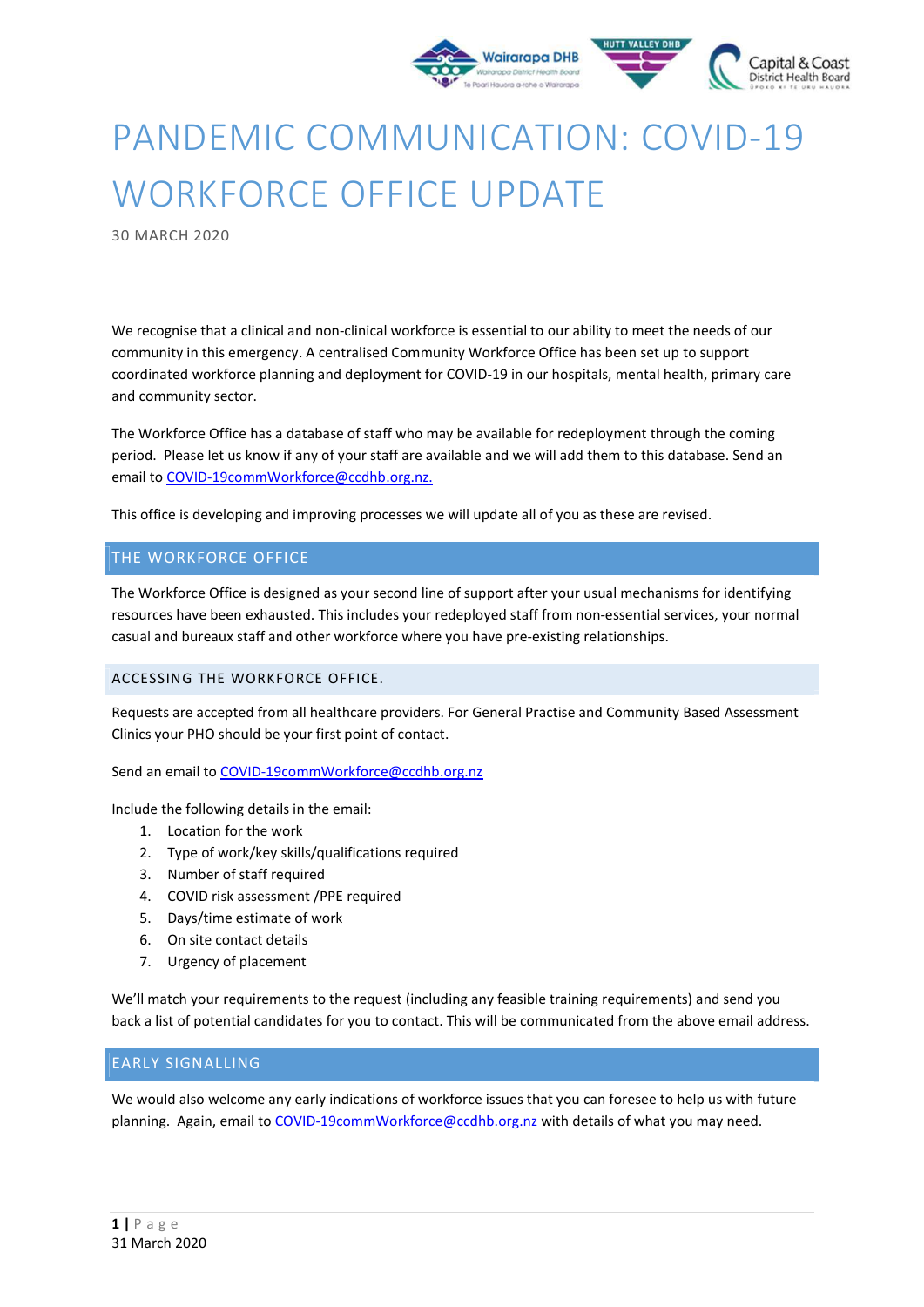

# PANDEMIC COMMUNICATION: COVID-19 WORKFORCE OFFICE UPDATE

30 MARCH 2020

We recognise that a clinical and non-clinical workforce is essential to our ability to meet the needs of our community in this emergency. A centralised Community Workforce Office has been set up to support coordinated workforce planning and deployment for COVID-19 in our hospitals, mental health, primary care and community sector.

The Workforce Office has a database of staff who may be available for redeployment through the coming period. Please let us know if any of your staff are available and we will add them to this database. Send an email to COVID-19commWorkforce@ccdhb.org.nz.

This office is developing and improving processes we will update all of you as these are revised.

#### THE WORKFORCE OFFICE

The Workforce Office is designed as your second line of support after your usual mechanisms for identifying resources have been exhausted. This includes your redeployed staff from non-essential services, your normal casual and bureaux staff and other workforce where you have pre-existing relationships.

#### ACCESSING THE WORKFORCE OFFICE.

Requests are accepted from all healthcare providers. For General Practise and Community Based Assessment Clinics your PHO should be your first point of contact.

Send an email to COVID-19commWorkforce@ccdhb.org.nz

Include the following details in the email:

- 1. Location for the work
- 2. Type of work/key skills/qualifications required
- 3. Number of staff required
- 4. COVID risk assessment /PPE required
- 5. Days/time estimate of work
- 6. On site contact details
- 7. Urgency of placement

We'll match your requirements to the request (including any feasible training requirements) and send you back a list of potential candidates for you to contact. This will be communicated from the above email address.

#### EARLY SIGNALLING

We would also welcome any early indications of workforce issues that you can foresee to help us with future planning. Again, email to COVID-19commWorkforce@ccdhb.org.nz with details of what you may need.